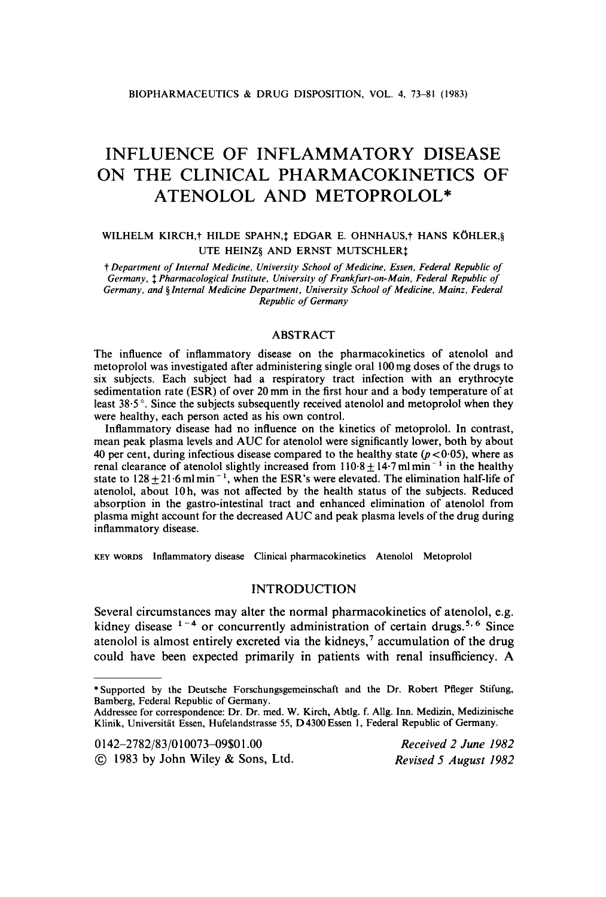# **INFLUENCE OF INFLAMMATORY DISEASE ON THE CLINICAL PHARMACOKINETICS OF ATENOLOL AND METOPROLOL\***

# **WILHELM KIRCH,? HILDE SPAHN,\$ EDGAR E. OHNHAUS,? HANS K6HLER,§ UTE HEINZ& AND ERNST MUTSCHLER:**

t *Department of internal Medicine, University School of Medicine, Essen, Federal Republic of Germany,* \$ *Pharmacological Institute, University of Frankfurt-on-Main. Federal Republic of*  Germany, and § Internal Medicine Department, University School of Medicine, Mainz, Federal *Republic of Germany* 

#### ABSTRACT

The influence of inflammatory disease on the pharmacokinetics of atenolol and metoprolol was investigated after administering single oral **100** mg doses of the drugs to six subjects. Each subject had a respiratory tract infection with an erythrocyte sedimentation rate (ESR) of over 20 mm in the first hour and a body temperature of at least **38.5** '. Since the subjects subsequently received atenolol and metoprolol when they were healthy, each person acted as his own control.

Inflammatory disease had no influence on the kinetics of metoprolol. In contrast, mean peak plasma levels and AUC for atenolol were significantly lower, both by about 40 per cent, during infectious disease compared to the healthy state  $(p<0.05)$ , where as renal clearance of atenolol slightly increased from  $110.8 \pm 14.7$  ml min<sup>-1</sup> in the healthy state to  $128 \pm 21.6$  ml min<sup>-1</sup>, when the ESR's were elevated. The elimination half-life of atenolol, about 10 h, was not affected by the health status of the subjects. Reduced absorption in the gastro-intestinal tract and enhanced elimination of atenolol from plasma might account for the decreased AUC and peak plasma levels of the drug during inflammatory disease.

**KEY** WORDS **Inflammatory disease Clinical pharmacokinetics Atenolol Metoprolol** 

# **INTRODUCTION**

**Several circumstances may alter the normal pharmacokinetics** of **atenolol, e.g.**  kidney disease  $1-4$  or concurrently administration of certain drugs.<sup>5, 6</sup> Since **atenolol is almost entirely excreted via the kidneys,' accumulation** of **the drug could have been expected primarily in patients with renal insufficiency. A** 

**0142-2782/83/01007349\$01** *.OO* 

*Received 2 June 1982 Revised 5 August 1982* 

<sup>\*</sup> **Supported by the Deutsche Forschungsgemeinschaft and the Dr. Robert Pfleger Stifung, Bamberg, Federal Republic of Germany.** 

**Addressee for correspondence: Dr. Dr. med. W. Kirch, Abtlg. f. Allg. Inn. Medizin, Medizinische Klinik, Universitat Essen, Hufelandstrasse 55, D4300 Essen 1, Federal Republic of Germany.** 

<sup>@</sup> **1983 by John Wiley** & **Sons, Ltd.**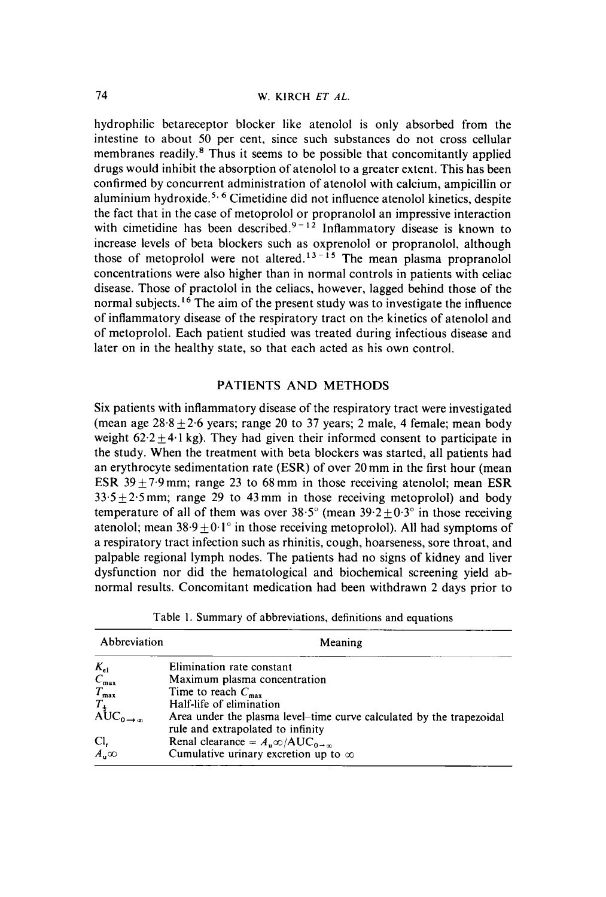hydrophilic betareceptor blocker like atenolol is only absorbed from the intestine to about 50 per cent, since such substances do not cross cellular membranes readily. $<sup>8</sup>$  Thus it seems to be possible that concomitantly applied</sup> drugs would inhibit the absorption of atenolol to a greater extent. This has been confirmed by concurrent administration of atenolol with calcium, ampicillin or aluminium hydroxide.<sup>5, 6</sup> Cimetidine did not influence atenolol kinetics, despite the fact that in the case of metoprolol or propranolol an impressive interaction with cimetidine has been described. $9-1^2$  Inflammatory disease is known to increase levels of beta blockers such as oxprenolol or propranolol, although those of metoprolol were not altered.<sup>13-15</sup> The mean plasma propranolol concentrations were also higher than in normal controls in patients with celiac disease. Those of practolol in the celiacs, however, lagged behind those of the normal subjects.<sup>16</sup> The aim of the present study was to investigate the influence of inflammatory disease of the respiratory tract on the kinetics of atenolol and of metoprolol. Each patient studied was treated during infectious disease and later on in the healthy state, so that each acted as his own control.

### PATIENTS AND METHODS

Six patients with inflammatory disease of the respiratory tract were investigated (mean age  $28.8 \pm 2.6$  years; range 20 to 37 years; 2 male, 4 female; mean body weight  $62.2 \pm 4.1$  kg). They had given their informed consent to participate in the study. When the treatment with beta blockers was started, all patients had an erythrocyte sedimentation rate **(ESR)** of over 20 mm in the first hour (mean **ESR** 39  $\pm$  7.9 mm; range 23 to 68 mm in those receiving atenolol; mean ESR  $33.5 \pm 2.5$  mm; range 29 to 43 mm in those receiving metoprolol) and body temperature of all of them was over  $38.5^{\circ}$  (mean  $39.2 \pm 0.3^{\circ}$  in those receiving atenolol; mean  $38.9 \pm 0.1^\circ$  in those receiving metoprolol). All had symptoms of a respiratory tract infection such as rhinitis, cough, hoarseness, sore throat, and palpable regional lymph nodes. The patients had no signs of kidney and liver dysfunction nor did the hematological and biochemical screening yield abnormal results. Concomitant medication had been withdrawn 2 days prior to

Table I. Summary of abbreviations, definitions and equations

| Abbreviation                                               | Meaning                                                              |
|------------------------------------------------------------|----------------------------------------------------------------------|
| $K_{\rm el}$                                               | Elimination rate constant                                            |
| $C_{\text{max}}$                                           | Maximum plasma concentration                                         |
| $T_{\text{max}}$                                           | Time to reach $C_{\text{max}}$                                       |
|                                                            | Half-life of elimination                                             |
| $T_{\substack{\text{1}\n\text{AUC}_{0\rightarrow\infty}}}$ | Area under the plasma level-time curve calculated by the trapezoidal |
|                                                            | rule and extrapolated to infinity                                    |
| Cl,                                                        | Renal clearance = $A_n \infty / AUC_{0 \to \infty}$                  |
| $\overline{A_n} \infty$                                    | Cumulative urinary excretion up to $\infty$                          |
|                                                            |                                                                      |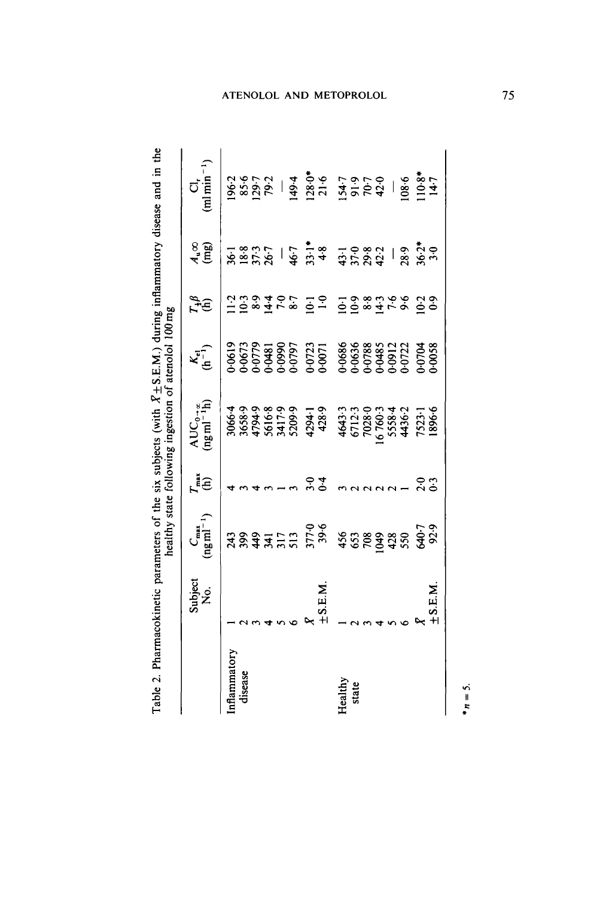|                     | $\frac{C_{\max}}{\left(ng\,ml^{-1}\right)}$ | $\zeta^{\text{iso}}$ | $\text{AUC}_{0-\alpha}$<br>(ng ml <sup>-1</sup> h)                                                     | $\kappa_{\tilde{\mathbf{e}}}$ | $\tilde{I}^{\#}_{\text{th}}$                 | $x^3$                                                                                                                                                                                                                                                                                                                                                                                         | $\prod_{r=1}^{n}$ |
|---------------------|---------------------------------------------|----------------------|--------------------------------------------------------------------------------------------------------|-------------------------------|----------------------------------------------|-----------------------------------------------------------------------------------------------------------------------------------------------------------------------------------------------------------------------------------------------------------------------------------------------------------------------------------------------------------------------------------------------|-------------------|
| S.E.M.<br>$+$ S.E.M |                                             | ი ი<br>ბ ი<br>ბ ი    | 30663839<br>36883433943583943558884<br>3689439943599435588845<br>3894899943599595425596659888452538865 |                               | はいりはてき いし いいるはても いのこうはり はっきょうけい いし いいるはても いり | $\frac{1}{36} \frac{8}{25} \frac{5}{25} \times \frac{1}{4} \frac{1}{4} \frac{1}{4} \frac{1}{4} \frac{1}{4} \frac{1}{4} \frac{1}{4} \frac{1}{4} \frac{1}{4} \frac{1}{4} \frac{1}{4} \frac{1}{4} \frac{1}{4} \frac{1}{4} \frac{1}{4} \frac{1}{4} \frac{1}{4} \frac{1}{4} \frac{1}{4} \frac{1}{4} \frac{1}{4} \frac{1}{4} \frac{1}{4} \frac{1}{4} \frac{1}{4} \frac{1}{4} \frac{1}{4} \frac{1}{$ |                   |

Table 2. Pharmacokinetic parameters of the six subjects (with  $\bar{X}$ +S.E.M.) during inflammatory disease and in the Table 2. Pharmacokinetic parameters of the six subjects (with **xk S.E.M.)** during inflammatory disease and in the

*\*n* = *5.*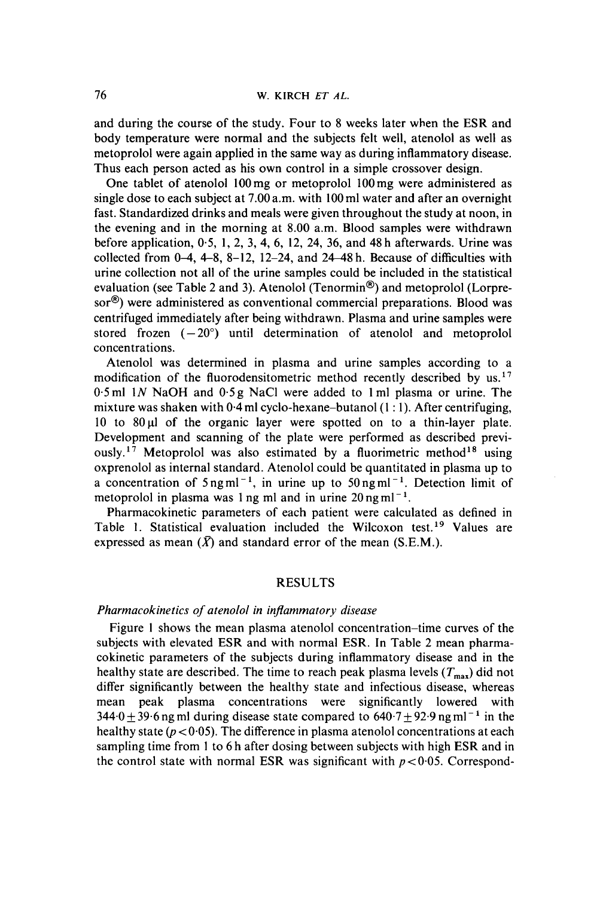and during the course of the study. Four to **8** weeks later when the ESR and body temperature were normal and the subjects felt well, atenolol as well as metoprolol were again applied in the same way as during inflammatory disease. Thus each person acted as his own control in a simple crossover design.

One tablet of atenolol l00mg or metoprolol 100mg were administered as single dose to each subject at 7.00a.m. with 100ml water and after an overnight fast. Standardized drinks and meals were given throughout the study at noon, in the evening and in the morning at 8.00 a.m. Blood samples were withdrawn before application, 0.5, 1, 2, 3, 4, 6, 12, 24, 36, and 48 h afterwards. Urine was collected from  $0-4$ ,  $4-8$ ,  $8-12$ ,  $12-24$ , and  $24-48$  h. Because of difficulties with urine collection not all of the urine samples could be included in the statistical evaluation (see Table 2 and 3). Atenolol (Tenormin<sup>®</sup>) and metoprolol (Lorpre**sor@)** were administered as conventional commercial preparations. Blood was centrifuged immediately after being withdrawn. Plasma and urine samples were stored frozen  $(-20^{\circ})$  until determination of atenolol and metoprolol concentrations.

Atenolol was determined in plasma and urine samples according to a modification of the fluorodensitometric method recently described by **us.17 0.5** ml 1N NaOH and 0.5 g NaCl were added to 1 ml plasma or urine. The mixture was shaken with  $0.4$  ml cyclo-hexane-butanol (1 : 1). After centrifuging, 10 to  $80 \mu$  of the organic layer were spotted on to a thin-layer plate. Development and scanning of the plate were performed as described previously.<sup>17</sup> Metoprolol was also estimated by a fluorimetric method<sup>18</sup> using oxprenolol as internal standard. Atenolol could be quantitated in plasma up to a concentration of  $5$ ngml<sup>-1</sup>, in urine up to  $50$ ngml<sup>-1</sup>. Detection limit of metoprolol in plasma was 1 ng ml and in urine  $20 \text{ ng m}$ l<sup>-1</sup>.

Pharmacokinetic parameters of each patient were calculated as defined in Table 1. Statistical evaluation included the Wilcoxon test.<sup>19</sup> Values are expressed as mean  $(\bar{X})$  and standard error of the mean  $(S.E.M.)$ .

# RESULTS

#### *Pharmacokinetics of atenolol in inflammatory disease*

Figure I shows the mean plasma atenolol concentration-time curves of the subjects with elevated ESR and with normal ESR. In Table 2 mean pharmacokinetic parameters of the subjects during inflammatory disease and in the healthy state are described. The time to reach peak plasma levels  $(T_{\text{max}})$  did not differ significantly between the healthy state and infectious disease, whereas mean peak plasma concentrations were significantly lowered with  $344.0 + 39.6$  ng ml during disease state compared to  $640.7 + 92.9$  ng ml<sup>-1</sup> in the healthy state  $(p < 0.05)$ . The difference in plasma atenolol concentrations at each sampling time from 1 to 6 h after dosing between subjects with high **ESR** and in the control state with normal ESR was significant with  $p < 0.05$ . Correspond-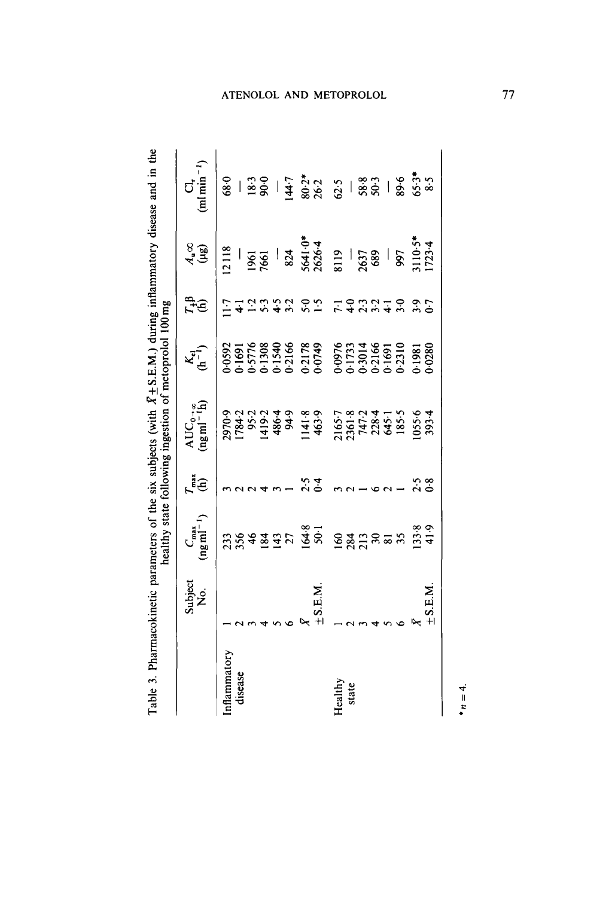|                                             |                |                                                                                            |                   | healthy state following ingestion of metoprolol 100 mg                                                         |                                                       |                                                                                                                                                                         |                                                                                               |                                                                                                                                                                                                                                                                                                  |
|---------------------------------------------|----------------|--------------------------------------------------------------------------------------------|-------------------|----------------------------------------------------------------------------------------------------------------|-------------------------------------------------------|-------------------------------------------------------------------------------------------------------------------------------------------------------------------------|-----------------------------------------------------------------------------------------------|--------------------------------------------------------------------------------------------------------------------------------------------------------------------------------------------------------------------------------------------------------------------------------------------------|
|                                             | Subject<br>No. | $C_{\text{max}}$<br>(ng ml <sup>-1</sup> )                                                 | re<br>G           | $\begin{array}{lcl} \text{AUC}_{\mathbb{G}^{-+\alpha}} & \\ (\text{ng}\,\text{ml}^{-1}\text{h}) & \end{array}$ | $K_{\mathbf{c}}$ <sup><math>\mathbf{r}</math></sup> ) | <b>FFB</b>                                                                                                                                                              | $\begin{array}{c} 8 \\ 4 \ \end{array}$                                                       | $C_1$<br>(ml min <sup>-1</sup> )                                                                                                                                                                                                                                                                 |
| Inflammatory<br>disease<br>Healthy<br>state | S.E.M.         | $\frac{36.8}{56.1}$ $\frac{63.7}{23.7}$ $\frac{25.7}{23.7}$ $\frac{25.7}{25.7}$<br>3548427 | र<br>२०<br>०      |                                                                                                                |                                                       | $\frac{1}{2}$ $\frac{1}{4}$ $\frac{1}{2}$ $\frac{1}{2}$ $\frac{1}{2}$ $\frac{1}{2}$ $\frac{1}{2}$ $\frac{1}{2}$ $\frac{1}{2}$ $\frac{1}{2}$ $\frac{1}{2}$ $\frac{1}{2}$ | 12118<br>1961<br>1961<br>1961<br>824<br>8263<br>837<br>837<br>837<br>837<br>8110-34<br>1723-4 | $\frac{1}{88}$ = $\frac{1}{88}$ = $\frac{1}{88}$ = $\frac{1}{88}$ = $\frac{1}{88}$ = $\frac{1}{88}$ = $\frac{1}{88}$ = $\frac{1}{88}$ = $\frac{1}{88}$ = $\frac{1}{88}$ = $\frac{1}{88}$ = $\frac{1}{88}$ = $\frac{1}{88}$ = $\frac{1}{88}$ = $\frac{1}{88}$ = $\frac{1}{88}$ = $\frac{1}{88}$ = |
|                                             |                |                                                                                            |                   |                                                                                                                |                                                       |                                                                                                                                                                         |                                                                                               |                                                                                                                                                                                                                                                                                                  |
|                                             | <b>NETS</b>    | $13.8$<br>41.9                                                                             | $\frac{2.5}{0.8}$ |                                                                                                                |                                                       |                                                                                                                                                                         |                                                                                               |                                                                                                                                                                                                                                                                                                  |
|                                             |                |                                                                                            |                   |                                                                                                                |                                                       |                                                                                                                                                                         |                                                                                               |                                                                                                                                                                                                                                                                                                  |

Table 3. Pharmacokinetic parameters of the six subjects (with  $X \pm S.E.M$ .) during inflammatory disease and in the **Table 3. Pharmacokinetic parameters of the six subjects (with**  $X \pm S.E.M.$ **) during inflammatory disease and in the** 

# ATENOLOL AND METOPROLOL

77

 $*_{n} = 4.$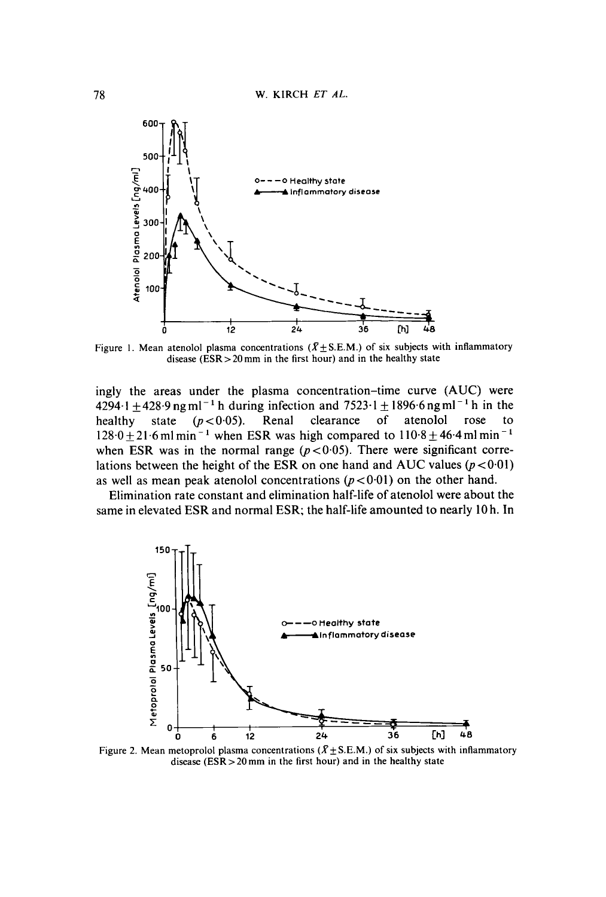

Figure 1. Mean atenolol plasma concentrations  $(X \pm S.E.M.)$  of six subjects with inflammatory **disease (ESR** > **20 mm in the first hour) and in the healthy state** 

ingly the areas under the plasma concentration-time curve **(AUC)** were  $4294.1 \pm 428.9$  ng ml<sup>-1</sup> h during infection and  $7523.1 \pm 1896.6$  ng ml<sup>-1</sup> h in the healthy state ( $p < 0.05$ ). Renal clearance of atenolol rose to state  $(p<0.05)$ .  $128.0 \pm 21.6$  ml min<sup>-1</sup> when ESR was high compared to  $110.8 \pm 46.4$  ml min<sup>-1</sup> when ESR was in the normal range  $(p < 0.05)$ . There were significant correlations between the height of the ESR on one hand and AUC values  $(p < 0.01)$ as well as mean peak atenolol concentrations  $(p < 0.01)$  on the other hand.

Elimination rate constant and elimination half-life of atenolol were about the same in elevated ESR and normal ESR; the half-life amounted to nearly 10 h. In



Figure 2. Mean metoprolol plasma concentrations  $(X \pm S.E.M.)$  of six subjects with inflammatory **disease (ESR>2Omm in the first hour) and in the healthy state**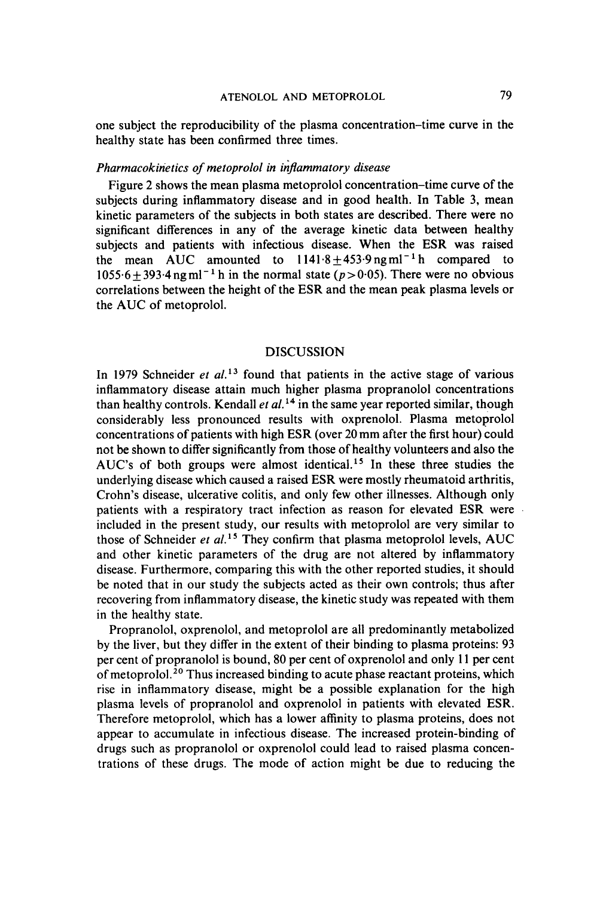one subject the reproducibility of the plasma concentration-time curve in the healthy state has been confirmed three times.

# Pharmacokinetics of metoprolol in inflammatory disease

Figure 2 shows the mean plasma metoprolol concentration-time curve of the subjects during inflammatory disease and in good health. In Table 3, mean kinetic parameters of the subjects in both states are described. There were no significant differences in any of the average kinetic data between healthy subjects and patients with infectious disease. When the **ESR** was raised the mean AUC amounted to  $1141.8 \pm 453.9$  ngml<sup>-1</sup> h compared to  $1055.6 \pm 393.4$  ng ml<sup>-1</sup> h in the normal state ( $p > 0.05$ ). There were no obvious correlations between the height of the **ESR** and the mean peak plasma levels or the AUC of metoprolol.

# DISCUSSION

In 1979 Schneider et  $al.$ <sup>13</sup> found that patients in the active stage of various inflammatory disease attain much higher plasma propranolol concentrations than healthy controls. Kendall et  $al^{14}$  in the same year reported similar, though considerably less pronounced results with oxprenolol. Plasma metoprolol concentrations of patients with high **ESR** (over 20 mm after the first hour) could not be shown to differ significantly from those of healthy volunteers and also the AUC's of both groups were almost identical.<sup>15</sup> In these three studies the underlying disease which caused a raised **ESR** were mostly rheumatoid arthritis, Crohn's disease, ulcerative colitis, and only few other illnesses. Although only patients with a respiratory tract infection as reason for elevated **ESR** were included in the present study, our results with metoprolol are very similar to those of Schneider et  $al$ .<sup>15</sup> They confirm that plasma metoprolol levels, AUC and other kinetic parameters of the drug are not altered by inflammatory disease. Furthermore, comparing this with the other reported studies, it should be noted that in our study the subjects acted as their own controls; thus after recovering from inflammatory disease, the kinetic study was repeated with them in the healthy state.

Propranolol, oxprenolol, and metoprolol are all predominantly metabolized by the liver, but they differ in the extent of their binding to plasma proteins: 93 per cent of propranolol is bound, 80 per cent of oxprenolol and only 11 per cent of metoprolol.20 Thus increased binding to acute phase reactant proteins, which rise in inflammatory disease, might be a possible explanation for the high plasma levels of propranolol and oxprenolol in patients with elevated **ESR.**  Therefore metoprolol, which has a lower affinity to plasma proteins, does not appear to accumulate in infectious disease. The increased protein-binding of drugs such as propranolol or oxprenolol could lead to raised plasma concentrations of these drugs. The mode of action might be due to reducing the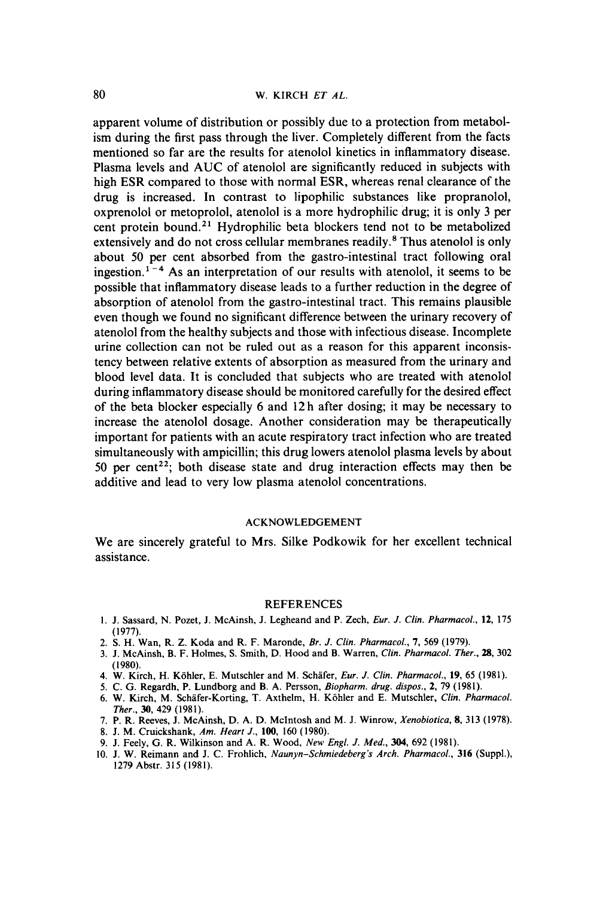apparent volume of distribution or possibly due to a protection from metabolism during the first pass through the liver. Completely different from the facts mentioned so far are the results for atenolol kinetics in inflammatory disease. Plasma levels and **AUC** of atenolol are significantly reduced in subjects with high **ESR** compared to those with normal **ESR,** whereas renal clearance of the drug is increased. In contrast to lipophilic substances like propranolol, oxprenolol or metoprolol, atenolol is a more hydrophilic drug; it is only **3** per cent protein bound.<sup>21</sup> Hydrophilic beta blockers tend not to be metabolized extensively and do not cross cellular membranes readily.\* **Thus** atenolol is only about 50 per cent absorbed from the gastro-intestinal tract following oral ingestion.<sup> $1-4$ </sup> As an interpretation of our results with atenolol, it seems to be possible that inflammatory disease leads to a further reduction in the degree of absorption of atenolol from the gastro-intestinal tract. This remains plausible even though we found no significant difference between the urinary recovery of atenolol from the healthy subjects and those with infectious disease. Incomplete urine collection can not be ruled out as a reason for this apparent inconsistency between relative extents of absorption as measured from the urinary and blood level data. It is concluded that subjects who are treated with atenolol during inflammatory disease should be monitored carefully for the desired effect of the beta blocker especially *6* and **12** h after dosing; it may be necessary to increase the atenolol dosage. Another consideration may be therapeutically important for patients with an acute respiratory tract infection who are treated simultaneously with ampicillin; this drug lowers atenolol plasma levels by about 50 per cent<sup>22</sup>; both disease state and drug interaction effects may then be additive and lead to very low plasma atenolol concentrations.

# **ACKNOWLEDGEMENT**

We are sincerely grateful to **Mrs.** Silke Podkowik for her excellent technical assistance.

#### **REFERENCES**

- **1. J. Sassard, N. Pozet, J. McAinsh, J. Legheand and P. Zech,** *Eur. J. Clin. Pharmacol.,* **12, 175**  ( **1977).**
- **2. S. H. Wan, R. Z. Koda and R.** F. **Maronde,** *Br. J. Clin. Pharmacol., 7,* **569 (1979).**
- **3. J. McAinsh, B.** F. **Holmes, S. Smith, D. Hood and B. Warren,** *Clin. Pharmacol. Ther.,* **28, 302**  ( **1980).**
- **4. W. Kirch, H. Kohler, E. Mutschler and M. Schafer,** *Eur. J. Clin. Pharmacol.,* **19, 65 (1981).**
- **5. C. G. Regardh, P. Lundborg and B. A. Persson,** *Biopharm. drug. dispos., 2,* **79 (1981).**
- **6. W. Kirch, M. Schafer-Korting, T. Axthelm, H. Kohler and E. Mutschler,** *Clin. Pharmacol. Ther.,* **30, 429 (1981).**
- **7. P. R. Reeves, J. McAinsh, D. A. D. McIntosh and M. J. Winrow,** *Xenobiorica,* **8, 313 (1978).**
- **8. J. M. Cruickshank,** *Am. Heart J.,* **100, 160 (1980).**
- **9. J. Feely, G. R. Wilkinson and A. R. Wood,** *New Engl. J. Med.,* **304, 692 (1981).**
- **10. J. W. Reimann and J. C. Frohlich,** *Naunyn-Schmiedeberg's Arch. Pharmacol.,* **316 (Suppl.), 1279 Abstr. 315 (1981).**